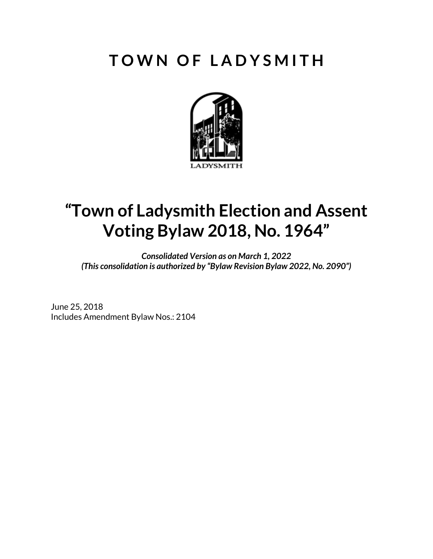# **T O W N O F L A D Y S M I T H**



# **"Town of Ladysmith Election and Assent Voting Bylaw 2018, No. 1964"**

*Consolidated Version as on March 1, 2022 (This consolidation is authorized by "Bylaw Revision Bylaw 2022, No. 2090")*

June 25, 2018 Includes Amendment Bylaw Nos.: 2104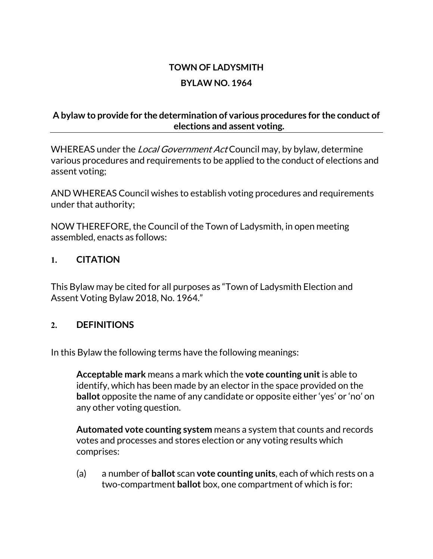# **TOWN OF LADYSMITH BYLAW NO. 1964**

#### **A bylaw to provide for the determination of various procedures for the conduct of elections and assent voting.**

WHEREAS under the *Local Government Act* Council may, by bylaw, determine various procedures and requirements to be applied to the conduct of elections and assent voting;

AND WHEREAS Council wishes to establish voting procedures and requirements under that authority;

NOW THEREFORE, the Council of the Town of Ladysmith, in open meeting assembled, enacts as follows:

#### **1. CITATION**

This Bylaw may be cited for all purposes as "Town of Ladysmith Election and Assent Voting Bylaw 2018, No. 1964."

#### **2. DEFINITIONS**

In this Bylaw the following terms have the following meanings:

**Acceptable mark** means a mark which the **vote counting unit**is able to identify, which has been made by an elector in the space provided on the **ballot** opposite the name of any candidate or opposite either 'yes' or 'no' on any other voting question.

**Automated vote counting system** means a system that counts and records votes and processes and stores election or any voting results which comprises:

(a) a number of **ballot** scan **vote counting units**, each of which rests on a two-compartment **ballot** box, one compartment of which is for: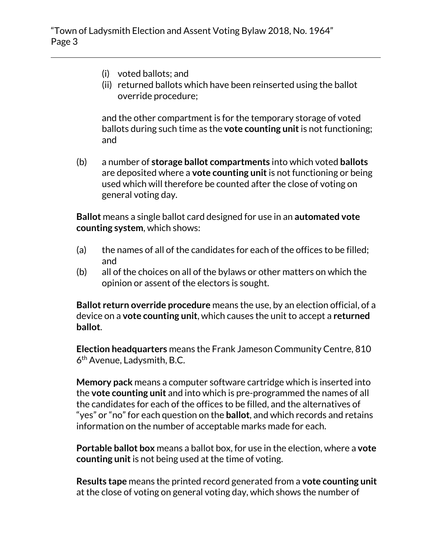- (i) voted ballots; and
- (ii) returned ballots which have been reinserted using the ballot override procedure;

and the other compartment is for the temporary storage of voted ballots during such time as the **vote counting unit**is not functioning; and

(b) a number of **storage ballot compartments** into which voted **ballots** are deposited where a **vote counting unit**is not functioning or being used which will therefore be counted after the close of voting on general voting day.

**Ballot** means a single ballot card designed for use in an **automated vote counting system**, which shows:

- (a) the names of all of the candidates for each of the offices to be filled; and
- (b) all of the choices on all of the bylaws or other matters on which the opinion or assent of the electors is sought.

**Ballot return override procedure** means the use, by an election official, of a device on a **vote counting unit**, which causes the unit to accept a **returned ballot**.

**Election headquarters** means the Frank Jameson Community Centre, 810 6th Avenue, Ladysmith, B.C.

**Memory pack** means a computer software cartridge which is inserted into the **vote counting unit** and into which is pre-programmed the names of all the candidates for each of the offices to be filled, and the alternatives of "yes" or "no" for each question on the **ballot**, and which records and retains information on the number of acceptable marks made for each.

**Portable ballot box** means a ballot box, for use in the election, where a **vote counting unit**is not being used at the time of voting.

**Results tape** means the printed record generated from a **vote counting unit** at the close of voting on general voting day, which shows the number of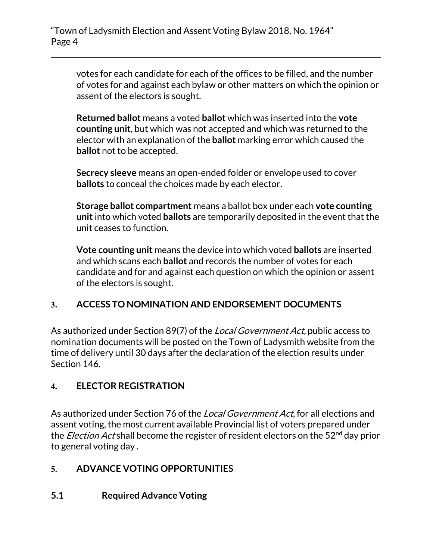votes for each candidate for each of the offices to be filled, and the number of votes for and against each bylaw or other matters on which the opinion or assent of the electors is sought.

**Returned ballot** means a voted **ballot** which was inserted into the **vote counting unit**, but which was not accepted and which was returned to the elector with an explanation of the **ballot** marking error which caused the **ballot** not to be accepted.

**Secrecy sleeve** means an open-ended folder or envelope used to cover **ballots** to conceal the choices made by each elector.

**Storage ballot compartment** means a ballot box under each **vote counting unit** into which voted **ballots** are temporarily deposited in the event that the unit ceases to function.

**Vote counting unit** means the device into which voted **ballots** are inserted and which scans each **ballot** and records the number of votes for each candidate and for and against each question on which the opinion or assent of the electors is sought.

# **3. ACCESS TO NOMINATION AND ENDORSEMENT DOCUMENTS**

As authorized under Section 89(7) of the *Local Government Act*, public access to nomination documents will be posted on the Town of Ladysmith website from the time of delivery until 30 days after the declaration of the election results under Section 146.

# **4. ELECTOR REGISTRATION**

As authorized under Section 76 of the Local Government Act, for all elections and assent voting, the most current available Provincial list of voters prepared under the *Election Act* shall become the register of resident electors on the 52<sup>nd</sup> day prior to general voting day .

# **5. ADVANCE VOTING OPPORTUNITIES**

# **5.1 Required Advance Voting**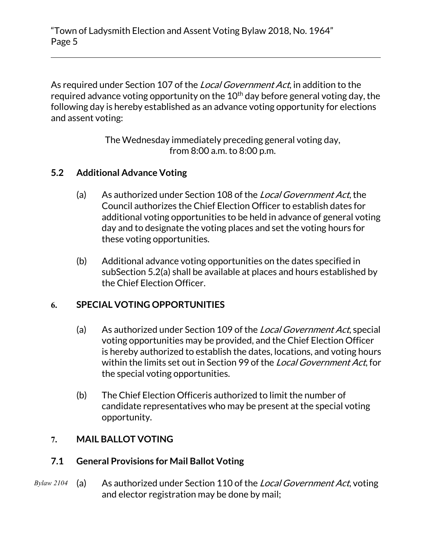"Town of Ladysmith Election and Assent Voting Bylaw 2018, No. 1964" Page 5

As required under Section 107 of the *Local Government Act*, in addition to the required advance voting opportunity on the  $10<sup>th</sup>$  day before general voting day, the following day is hereby established as an advance voting opportunity for elections and assent voting:

> The Wednesday immediately preceding general voting day, from 8:00 a.m. to 8:00 p.m.

#### **5.2 Additional Advance Voting**

- (a) As authorized under Section 108 of the Local Government Act, the Council authorizes the Chief Election Officer to establish dates for additional voting opportunities to be held in advance of general voting day and to designate the voting places and set the voting hours for these voting opportunities.
- (b) Additional advance voting opportunities on the dates specified in subSection 5.2(a) shall be available at places and hours established by the Chief Election Officer.

#### **6. SPECIAL VOTING OPPORTUNITIES**

- (a) As authorized under Section 109 of the Local Government Act, special voting opportunities may be provided, and the Chief Election Officer is hereby authorized to establish the dates, locations, and voting hours within the limits set out in Section 99 of the *Local Government Act*, for the special voting opportunities.
- (b) The Chief Election Officeris authorized to limit the number of candidate representatives who may be present at the special voting opportunity.

#### **7. MAIL BALLOT VOTING**

#### **7.1 General Provisions for Mail Ballot Voting**

(a) As authorized under Section 110 of the Local Government Act, voting and elector registration may be done by mail; *Bylaw 2104*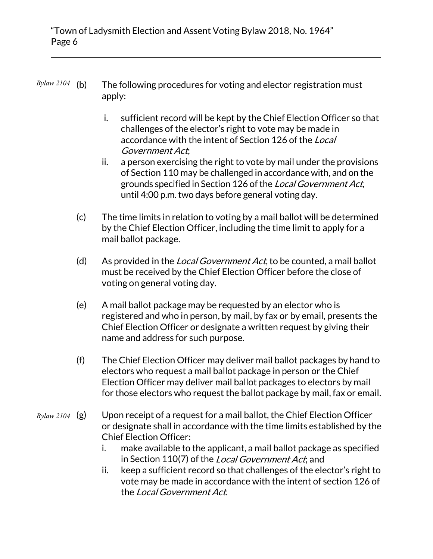#### The following procedures for voting and elector registration must apply: *Bylaw 2104*

- i. sufficient record will be kept by the Chief Election Officer so that challenges of the elector's right to vote may be made in accordance with the intent of Section 126 of the Local Government Act;
- ii. a person exercising the right to vote by mail under the provisions of Section 110 may be challenged in accordance with, and on the grounds specified in Section 126 of the Local Government Act, until 4:00 p.m. two days before general voting day.
- (c) The time limits in relation to voting by a mail ballot will be determined by the Chief Election Officer, including the time limit to apply for a mail ballot package.
- (d) As provided in the Local Government Act, to be counted, a mail ballot must be received by the Chief Election Officer before the close of voting on general voting day.
- (e) A mail ballot package may be requested by an elector who is registered and who in person, by mail, by fax or by email, presents the Chief Election Officer or designate a written request by giving their name and address for such purpose.
- (f) The Chief Election Officer may deliver mail ballot packages by hand to electors who request a mail ballot package in person or the Chief Election Officer may deliver mail ballot packages to electors by mail for those electors who request the ballot package by mail, fax or email.
- Upon receipt of a request for a mail ballot, the Chief Election Officer or designate shall in accordance with the time limits established by the Chief Election Officer: *Bylaw 2104*
	- i. make available to the applicant, a mail ballot package as specified in Section 110(7) of the Local Government Act; and
	- ii. keep a sufficient record so that challenges of the elector's right to vote may be made in accordance with the intent of section 126 of the Local Government Act.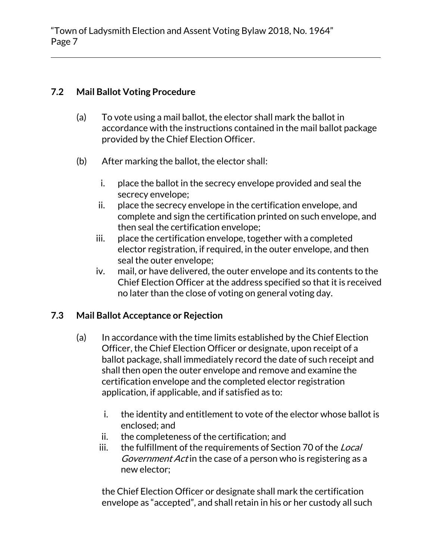#### **7.2 Mail Ballot Voting Procedure**

- (a) To vote using a mail ballot, the elector shall mark the ballot in accordance with the instructions contained in the mail ballot package provided by the Chief Election Officer.
- (b) After marking the ballot, the elector shall:
	- i. place the ballot in the secrecy envelope provided and seal the secrecy envelope;
	- ii. place the secrecy envelope in the certification envelope, and complete and sign the certification printed on such envelope, and then seal the certification envelope;
	- iii. place the certification envelope, together with a completed elector registration, if required, in the outer envelope, and then seal the outer envelope;
	- iv. mail, or have delivered, the outer envelope and its contents to the Chief Election Officer at the address specified so that it is received no later than the close of voting on general voting day.

#### **7.3 Mail Ballot Acceptance or Rejection**

- (a) In accordance with the time limits established by the Chief Election Officer, the Chief Election Officer or designate, upon receipt of a ballot package, shall immediately record the date of such receipt and shall then open the outer envelope and remove and examine the certification envelope and the completed elector registration application, if applicable, and if satisfied as to:
	- i. the identity and entitlement to vote of the elector whose ballot is enclosed; and
	- ii. the completeness of the certification; and
	- iii. the fulfillment of the requirements of Section 70 of the Local Government Act in the case of a person who is registering as a new elector;

the Chief Election Officer or designate shall mark the certification envelope as "accepted", and shall retain in his or her custody all such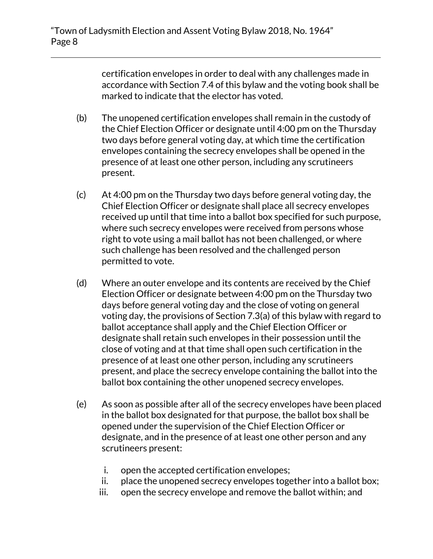certification envelopes in order to deal with any challenges made in accordance with Section 7.4 of this bylaw and the voting book shall be marked to indicate that the elector has voted.

- (b) The unopened certification envelopes shall remain in the custody of the Chief Election Officer or designate until 4:00 pm on the Thursday two days before general voting day, at which time the certification envelopes containing the secrecy envelopes shall be opened in the presence of at least one other person, including any scrutineers present.
- (c) At 4:00 pm on the Thursday two days before general voting day, the Chief Election Officer or designate shall place all secrecy envelopes received up until that time into a ballot box specified for such purpose, where such secrecy envelopes were received from persons whose right to vote using a mail ballot has not been challenged, or where such challenge has been resolved and the challenged person permitted to vote.
- (d) Where an outer envelope and its contents are received by the Chief Election Officer or designate between 4:00 pm on the Thursday two days before general voting day and the close of voting on general voting day, the provisions of Section 7.3(a) of this bylaw with regard to ballot acceptance shall apply and the Chief Election Officer or designate shall retain such envelopes in their possession until the close of voting and at that time shall open such certification in the presence of at least one other person, including any scrutineers present, and place the secrecy envelope containing the ballot into the ballot box containing the other unopened secrecy envelopes.
- (e) As soon as possible after all of the secrecy envelopes have been placed in the ballot box designated for that purpose, the ballot box shall be opened under the supervision of the Chief Election Officer or designate, and in the presence of at least one other person and any scrutineers present:
	- i. open the accepted certification envelopes;
	- ii. place the unopened secrecy envelopes together into a ballot box;
	- iii. open the secrecy envelope and remove the ballot within; and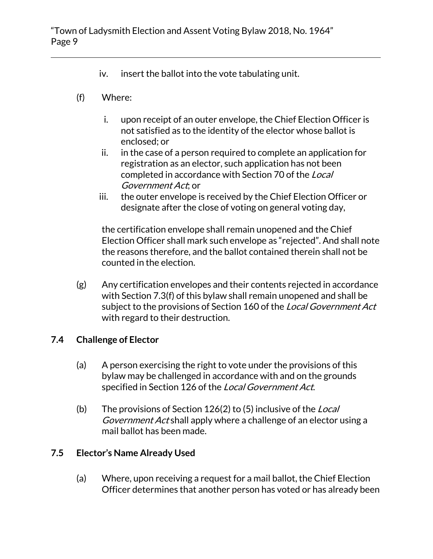- iv. insert the ballot into the vote tabulating unit.
- (f) Where:
	- i. upon receipt of an outer envelope, the Chief Election Officer is not satisfied as to the identity of the elector whose ballot is enclosed; or
	- ii. in the case of a person required to complete an application for registration as an elector, such application has not been completed in accordance with Section 70 of the Local Government Act; or
	- iii. the outer envelope is received by the Chief Election Officer or designate after the close of voting on general voting day,

the certification envelope shall remain unopened and the Chief Election Officer shall mark such envelope as "rejected". And shall note the reasons therefore, and the ballot contained therein shall not be counted in the election.

(g) Any certification envelopes and their contents rejected in accordance with Section 7.3(f) of this bylaw shall remain unopened and shall be subject to the provisions of Section 160 of the Local Government Act with regard to their destruction.

#### **7.4 Challenge of Elector**

- (a) A person exercising the right to vote under the provisions of this bylaw may be challenged in accordance with and on the grounds specified in Section 126 of the Local Government Act.
- (b) The provisions of Section  $126(2)$  to (5) inclusive of the Local Government Act shall apply where a challenge of an elector using a mail ballot has been made.

#### **7.5 Elector's Name Already Used**

(a) Where, upon receiving a request for a mail ballot, the Chief Election Officer determines that another person has voted or has already been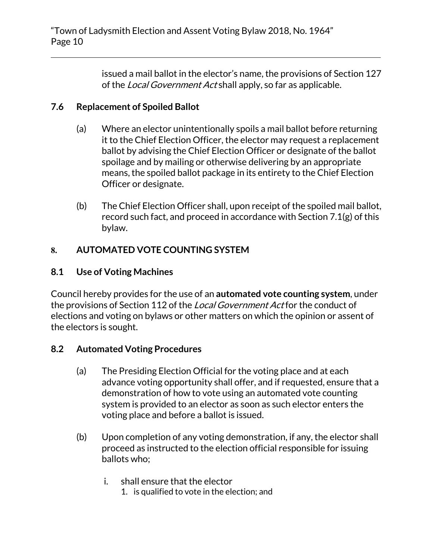issued a mail ballot in the elector's name, the provisions of Section 127 of the *Local Government Act* shall apply, so far as applicable.

#### **7.6 Replacement of Spoiled Ballot**

- (a) Where an elector unintentionally spoils a mail ballot before returning it to the Chief Election Officer, the elector may request a replacement ballot by advising the Chief Election Officer or designate of the ballot spoilage and by mailing or otherwise delivering by an appropriate means, the spoiled ballot package in its entirety to the Chief Election Officer or designate.
- (b) The Chief Election Officer shall, upon receipt of the spoiled mail ballot, record such fact, and proceed in accordance with Section 7.1(g) of this bylaw.

# **8. AUTOMATED VOTE COUNTING SYSTEM**

### **8.1 Use of Voting Machines**

Council hereby provides for the use of an **automated vote counting system**, under the provisions of Section 112 of the *Local Government Act* for the conduct of elections and voting on bylaws or other matters on which the opinion or assent of the electors is sought.

#### **8.2 Automated Voting Procedures**

- (a) The Presiding Election Official for the voting place and at each advance voting opportunity shall offer, and if requested, ensure that a demonstration of how to vote using an automated vote counting system is provided to an elector as soon as such elector enters the voting place and before a ballot is issued.
- (b) Upon completion of any voting demonstration, if any, the elector shall proceed as instructed to the election official responsible for issuing ballots who;
	- i. shall ensure that the elector
		- 1. is qualified to vote in the election; and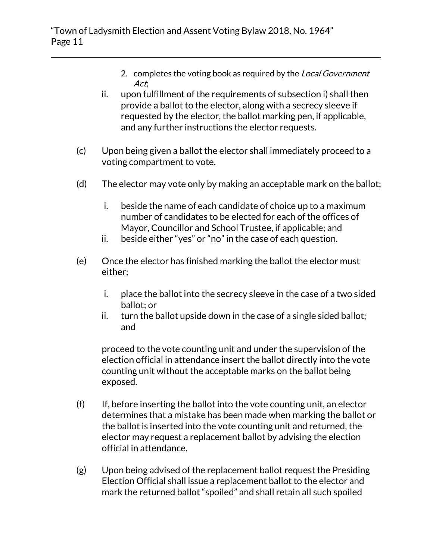- 2. completes the voting book as required by the Local Government Act;
- ii. upon fulfillment of the requirements of subsection i) shall then provide a ballot to the elector, along with a secrecy sleeve if requested by the elector, the ballot marking pen, if applicable, and any further instructions the elector requests.
- (c) Upon being given a ballot the elector shall immediately proceed to a voting compartment to vote.
- (d) The elector may vote only by making an acceptable mark on the ballot;
	- i. beside the name of each candidate of choice up to a maximum number of candidates to be elected for each of the offices of Mayor, Councillor and School Trustee, if applicable; and
	- ii. beside either "yes" or "no" in the case of each question.
- (e) Once the elector has finished marking the ballot the elector must either;
	- i. place the ballot into the secrecy sleeve in the case of a two sided ballot; or
	- ii. turn the ballot upside down in the case of a single sided ballot; and

proceed to the vote counting unit and under the supervision of the election official in attendance insert the ballot directly into the vote counting unit without the acceptable marks on the ballot being exposed.

- $(f)$  If, before inserting the ballot into the vote counting unit, an elector determines that a mistake has been made when marking the ballot or the ballot is inserted into the vote counting unit and returned, the elector may request a replacement ballot by advising the election official in attendance.
- (g) Upon being advised of the replacement ballot request the Presiding Election Official shall issue a replacement ballot to the elector and mark the returned ballot "spoiled" and shall retain all such spoiled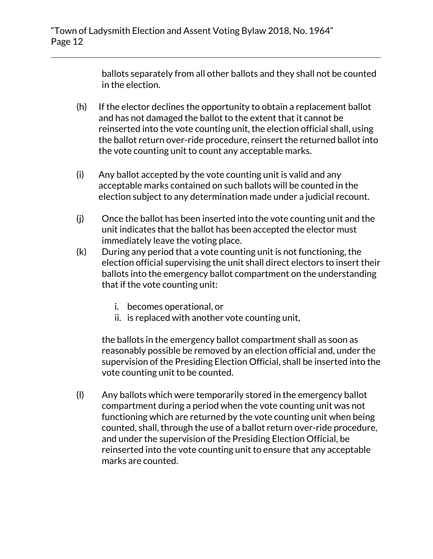ballots separately from all other ballots and they shall not be counted in the election.

- (h) If the elector declines the opportunity to obtain a replacement ballot and has not damaged the ballot to the extent that it cannot be reinserted into the vote counting unit, the election official shall, using the ballot return over-ride procedure, reinsert the returned ballot into the vote counting unit to count any acceptable marks.
- (i) Any ballot accepted by the vote counting unit is valid and any acceptable marks contained on such ballots will be counted in the election subject to any determination made under a judicial recount.
- (j) Once the ballot has been inserted into the vote counting unit and the unit indicates that the ballot has been accepted the elector must immediately leave the voting place.
- (k) During any period that a vote counting unit is not functioning, the election official supervising the unit shall direct electors to insert their ballots into the emergency ballot compartment on the understanding that if the vote counting unit:
	- i. becomes operational, or
	- ii. is replaced with another vote counting unit,

the ballots in the emergency ballot compartment shall as soon as reasonably possible be removed by an election official and, under the supervision of the Presiding Election Official, shall be inserted into the vote counting unit to be counted.

(l) Any ballots which were temporarily stored in the emergency ballot compartment during a period when the vote counting unit was not functioning which are returned by the vote counting unit when being counted, shall, through the use of a ballot return over-ride procedure, and under the supervision of the Presiding Election Official, be reinserted into the vote counting unit to ensure that any acceptable marks are counted.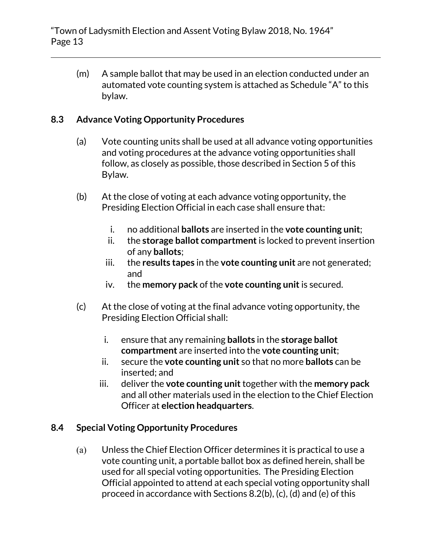(m) A sample ballot that may be used in an election conducted under an automated vote counting system is attached as Schedule "A" to this bylaw.

### **8.3 Advance Voting Opportunity Procedures**

- (a) Vote counting units shall be used at all advance voting opportunities and voting procedures at the advance voting opportunities shall follow, as closely as possible, those described in Section 5 of this Bylaw.
- (b) At the close of voting at each advance voting opportunity, the Presiding Election Official in each case shall ensure that:
	- i. no additional **ballots** are inserted in the **vote counting unit**;
	- ii. the **storage ballot compartment** is locked to prevent insertion of any **ballots**;
	- iii. the **results tapes** in the **vote counting unit** are not generated; and
	- iv. the **memory pack** of the **vote counting unit**is secured.
- (c) At the close of voting at the final advance voting opportunity, the Presiding Election Official shall:
	- i. ensure that any remaining **ballots** in the **storage ballot compartment** are inserted into the **vote counting unit**;
	- ii. secure the **vote counting unit** so that no more **ballots** can be inserted; and
	- iii. deliver the **vote counting unit**together with the **memory pack** and all other materials used in the election to the Chief Election Officer at **election headquarters**.

# **8.4 Special Voting Opportunity Procedures**

(a) Unless the Chief Election Officer determines it is practical to use a vote counting unit, a portable ballot box as defined herein, shall be used for all special voting opportunities. The Presiding Election Official appointed to attend at each special voting opportunity shall proceed in accordance with Sections 8.2(b), (c), (d) and (e) of this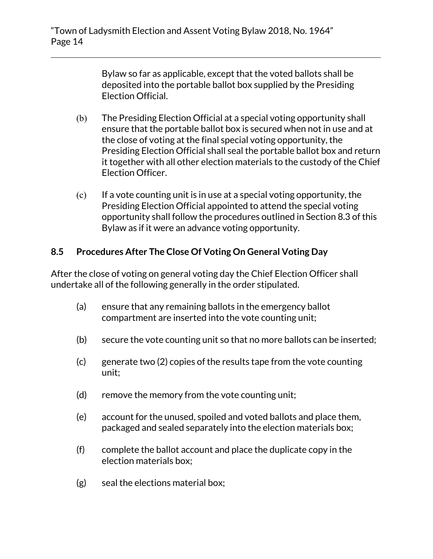Bylaw so far as applicable, except that the voted ballots shall be deposited into the portable ballot box supplied by the Presiding Election Official.

- (b) The Presiding Election Official at a special voting opportunity shall ensure that the portable ballot box is secured when not in use and at the close of voting at the final special voting opportunity, the Presiding Election Official shall seal the portable ballot box and return it together with all other election materials to the custody of the Chief Election Officer.
- $(c)$  If a vote counting unit is in use at a special voting opportunity, the Presiding Election Official appointed to attend the special voting opportunity shall follow the procedures outlined in Section 8.3 of this Bylaw as if it were an advance voting opportunity.

#### **8.5 Procedures After The Close Of Voting On General Voting Day**

After the close of voting on general voting day the Chief Election Officer shall undertake all of the following generally in the order stipulated.

- (a) ensure that any remaining ballots in the emergency ballot compartment are inserted into the vote counting unit;
- (b) secure the vote counting unit so that no more ballots can be inserted;
- (c) generate two (2) copies of the results tape from the vote counting unit;
- (d) remove the memory from the vote counting unit;
- (e) account for the unused, spoiled and voted ballots and place them, packaged and sealed separately into the election materials box;
- (f) complete the ballot account and place the duplicate copy in the election materials box;
- (g) seal the elections material box;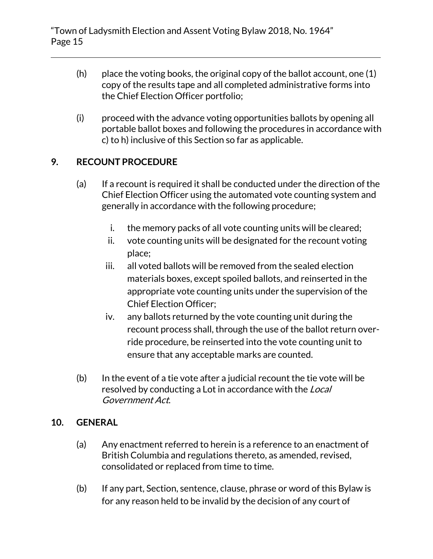- $(h)$  place the voting books, the original copy of the ballot account, one  $(1)$ copy of the results tape and all completed administrative forms into the Chief Election Officer portfolio;
- (i) proceed with the advance voting opportunities ballots by opening all portable ballot boxes and following the procedures in accordance with c) to h) inclusive of this Section so far as applicable.

# **9. RECOUNT PROCEDURE**

- (a) If a recount is required it shall be conducted under the direction of the Chief Election Officer using the automated vote counting system and generally in accordance with the following procedure;
	- i. the memory packs of all vote counting units will be cleared;
	- ii. vote counting units will be designated for the recount voting place;
	- iii. all voted ballots will be removed from the sealed election materials boxes, except spoiled ballots, and reinserted in the appropriate vote counting units under the supervision of the Chief Election Officer;
	- iv. any ballots returned by the vote counting unit during the recount process shall, through the use of the ballot return override procedure, be reinserted into the vote counting unit to ensure that any acceptable marks are counted.
- (b) In the event of a tie vote after a judicial recount the tie vote will be resolved by conducting a Lot in accordance with the *Local* Government Act.

#### **10. GENERAL**

- (a) Any enactment referred to herein is a reference to an enactment of British Columbia and regulations thereto, as amended, revised, consolidated or replaced from time to time.
- (b) If any part, Section, sentence, clause, phrase or word of this Bylaw is for any reason held to be invalid by the decision of any court of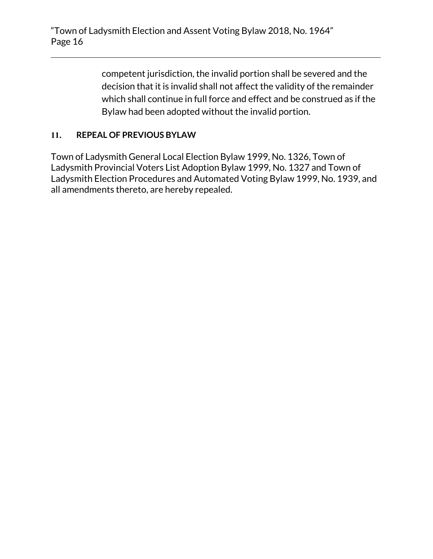competent jurisdiction, the invalid portion shall be severed and the decision that it is invalid shall not affect the validity of the remainder which shall continue in full force and effect and be construed as if the Bylaw had been adopted without the invalid portion.

#### **11. REPEAL OF PREVIOUS BYLAW**

Town of Ladysmith General Local Election Bylaw 1999, No. 1326, Town of Ladysmith Provincial Voters List Adoption Bylaw 1999, No. 1327 and Town of Ladysmith Election Procedures and Automated Voting Bylaw 1999, No. 1939, and all amendments thereto, are hereby repealed.